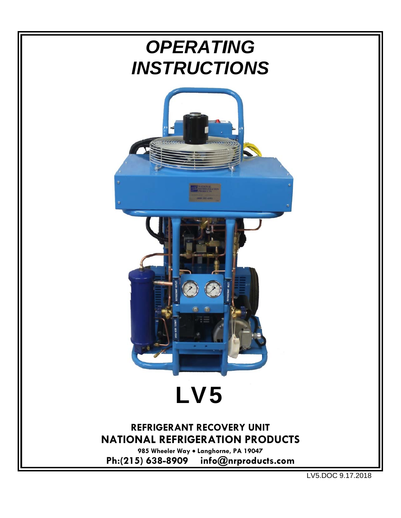

LV5.DOC 9.17.2018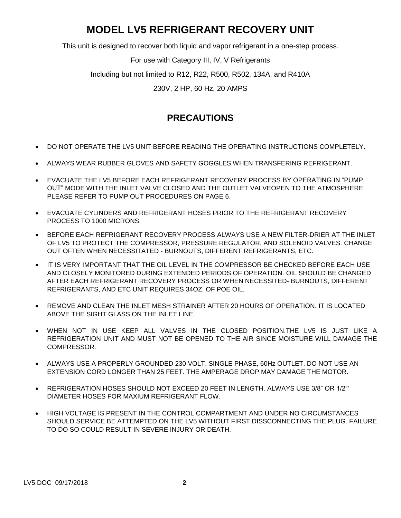# **MODEL LV5 REFRIGERANT RECOVERY UNIT**

This unit is designed to recover both liquid and vapor refrigerant in a one-step process.

For use with Category III, IV, V Refrigerants

Including but not limited to R12, R22, R500, R502, 134A, and R410A

230V, 2 HP, 60 Hz, 20 AMPS

## **PRECAUTIONS**

- DO NOT OPERATE THE LV5 UNIT BEFORE READING THE OPERATING INSTRUCTIONS COMPLETELY.
- ALWAYS WEAR RUBBER GLOVES AND SAFETY GOGGLES WHEN TRANSFERING REFRIGERANT.
- EVACUATE THE LV5 BEFORE EACH REFRIGERANT RECOVERY PROCESS BY OPERATING IN "PUMP OUT" MODE WITH THE INLET VALVE CLOSED AND THE OUTLET VALVEOPEN TO THE ATMOSPHERE. PLEASE REFER TO PUMP OUT PROCEDURES ON PAGE 6.
- EVACUATE CYLINDERS AND REFRIGERANT HOSES PRIOR TO THE REFRIGERANT RECOVERY PROCESS TO 1000 MICRONS.
- BEFORE EACH REFRIGERANT RECOVERY PROCESS ALWAYS USE A NEW FILTER-DRIER AT THE INLET OF LV5 TO PROTECT THE COMPRESSOR, PRESSURE REGULATOR, AND SOLENOID VALVES. CHANGE OUT OFTEN WHEN NECESSITATED - BURNOUTS, DIFFERENT REFRIGERANTS, ETC.
- IT IS VERY IMPORTANT THAT THE OIL LEVEL IN THE COMPRESSOR BE CHECKED BEFORE EACH USE AND CLOSELY MONITORED DURING EXTENDED PERIODS OF OPERATION. OIL SHOULD BE CHANGED AFTER EACH REFRIGERANT RECOVERY PROCESS OR WHEN NECESSITED- BURNOUTS, DIFFERENT REFRIGERANTS, AND ETC UNIT REQUIRES 34OZ. OF POE OIL.
- REMOVE AND CLEAN THE INLET MESH STRAINER AFTER 20 HOURS OF OPERATION. IT IS LOCATED ABOVE THE SIGHT GLASS ON THE INLET LINE.
- WHEN NOT IN USE KEEP ALL VALVES IN THE CLOSED POSITION.THE LV5 IS JUST LIKE A REFRIGERATION UNIT AND MUST NOT BE OPENED TO THE AIR SINCE MOISTURE WILL DAMAGE THE COMPRESSOR.
- ALWAYS USE A PROPERLY GROUNDED 230 VOLT, SINGLE PHASE, 60Hz OUTLET. DO NOT USE AN EXTENSION CORD LONGER THAN 25 FEET. THE AMPERAGE DROP MAY DAMAGE THE MOTOR.
- REFRIGERATION HOSES SHOULD NOT EXCEED 20 FEET IN LENGTH. ALWAYS USE 3/8" OR 1/2"' DIAMETER HOSES FOR MAXIUM REFRIGERANT FLOW.
- HIGH VOLTAGE IS PRESENT IN THE CONTROL COMPARTMENT AND UNDER NO CIRCUMSTANCES SHOULD SERVICE BE ATTEMPTED ON THE LV5 WITHOUT FIRST DISSCONNECTING THE PLUG. FAILURE TO DO SO COULD RESULT IN SEVERE INJURY OR DEATH.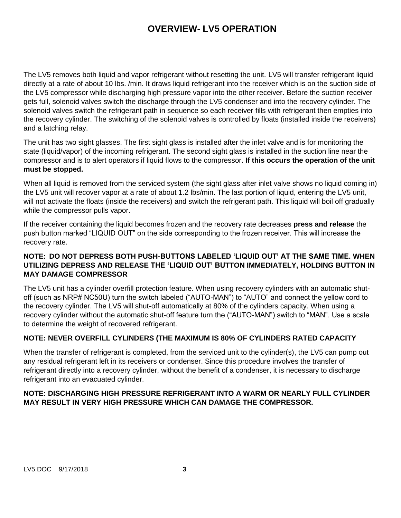### **OVERVIEW- LV5 OPERATION**

The LV5 removes both liquid and vapor refrigerant without resetting the unit. LV5 will transfer refrigerant liquid directly at a rate of about 10 lbs. /min. It draws liquid refrigerant into the receiver which is on the suction side of the LV5 compressor while discharging high pressure vapor into the other receiver. Before the suction receiver gets full, solenoid valves switch the discharge through the LV5 condenser and into the recovery cylinder. The solenoid valves switch the refrigerant path in sequence so each receiver fills with refrigerant then empties into the recovery cylinder. The switching of the solenoid valves is controlled by floats (installed inside the receivers) and a latching relay.

The unit has two sight glasses. The first sight glass is installed after the inlet valve and is for monitoring the state (liquid/vapor) of the incoming refrigerant. The second sight glass is installed in the suction line near the compressor and is to alert operators if liquid flows to the compressor. **If this occurs the operation of the unit must be stopped.**

When all liquid is removed from the serviced system (the sight glass after inlet valve shows no liquid coming in) the LV5 unit will recover vapor at a rate of about 1.2 lbs/min. The last portion of liquid, entering the LV5 unit, will not activate the floats (inside the receivers) and switch the refrigerant path. This liquid will boil off gradually while the compressor pulls vapor.

If the receiver containing the liquid becomes frozen and the recovery rate decreases **press and release** the push button marked "LIQUID OUT" on the side corresponding to the frozen receiver. This will increase the recovery rate.

### **NOTE: DO NOT DEPRESS BOTH PUSH-BUTTONS LABELED 'LIQUID OUT' AT THE SAME TIME. WHEN UTILIZING DEPRESS AND RELEASE THE 'LIQUID OUT' BUTTON IMMEDIATELY, HOLDING BUTTON IN MAY DAMAGE COMPRESSOR**

The LV5 unit has a cylinder overfill protection feature. When using recovery cylinders with an automatic shutoff (such as NRP# NC50U) turn the switch labeled ("AUTO-MAN") to "AUTO" and connect the yellow cord to the recovery cylinder. The LV5 will shut-off automatically at 80% of the cylinders capacity. When using a recovery cylinder without the automatic shut-off feature turn the ("AUTO-MAN") switch to "MAN". Use a scale to determine the weight of recovered refrigerant.

### **NOTE: NEVER OVERFILL CYLINDERS (THE MAXIMUM IS 80% OF CYLINDERS RATED CAPACITY**

When the transfer of refrigerant is completed, from the serviced unit to the cylinder(s), the LV5 can pump out any residual refrigerant left in its receivers or condenser. Since this procedure involves the transfer of refrigerant directly into a recovery cylinder, without the benefit of a condenser, it is necessary to discharge refrigerant into an evacuated cylinder.

#### **NOTE: DISCHARGING HIGH PRESSURE REFRIGERANT INTO A WARM OR NEARLY FULL CYLINDER MAY RESULT IN VERY HIGH PRESSURE WHICH CAN DAMAGE THE COMPRESSOR.**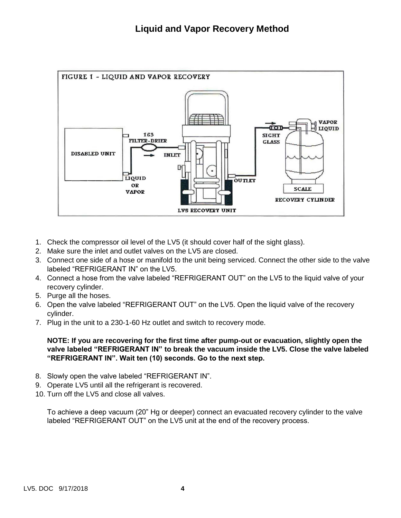

- 1. Check the compressor oil level of the LV5 (it should cover half of the sight glass).
- 2. Make sure the inlet and outlet valves on the LV5 are closed.
- 3. Connect one side of a hose or manifold to the unit being serviced. Connect the other side to the valve labeled "REFRIGERANT IN" on the LV5.
- 4. Connect a hose from the valve labeled "REFRIGERANT OUT" on the LV5 to the liquid valve of your recovery cylinder.
- 5. Purge all the hoses.
- 6. Open the valve labeled "REFRIGERANT OUT" on the LV5. Open the liquid valve of the recovery cylinder.
- 7. Plug in the unit to a 230-1-60 Hz outlet and switch to recovery mode.

#### **NOTE: If you are recovering for the first time after pump-out or evacuation, slightly open the valve labeled "REFRIGERANT IN" to break the vacuum inside the LV5. Close the valve labeled "REFRIGERANT IN". Wait ten (10) seconds. Go to the next step.**

- 8. Slowly open the valve labeled "REFRIGERANT IN".
- 9. Operate LV5 until all the refrigerant is recovered.
- 10. Turn off the LV5 and close all valves.

To achieve a deep vacuum (20" Hg or deeper) connect an evacuated recovery cylinder to the valve labeled "REFRIGERANT OUT" on the LV5 unit at the end of the recovery process.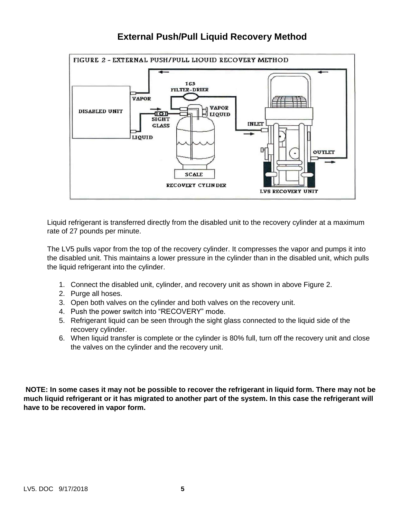## **External Push/Pull Liquid Recovery Method**



Liquid refrigerant is transferred directly from the disabled unit to the recovery cylinder at a maximum rate of 27 pounds per minute.

The LV5 pulls vapor from the top of the recovery cylinder. It compresses the vapor and pumps it into the disabled unit. This maintains a lower pressure in the cylinder than in the disabled unit, which pulls the liquid refrigerant into the cylinder.

- 1. Connect the disabled unit, cylinder, and recovery unit as shown in above Figure 2.
- 2. Purge all hoses.
- 3. Open both valves on the cylinder and both valves on the recovery unit.
- 4. Push the power switch into "RECOVERY" mode.
- 5. Refrigerant liquid can be seen through the sight glass connected to the liquid side of the recovery cylinder.
- 6. When liquid transfer is complete or the cylinder is 80% full, turn off the recovery unit and close the valves on the cylinder and the recovery unit.

**NOTE: In some cases it may not be possible to recover the refrigerant in liquid form. There may not be much liquid refrigerant or it has migrated to another part of the system. In this case the refrigerant will have to be recovered in vapor form.**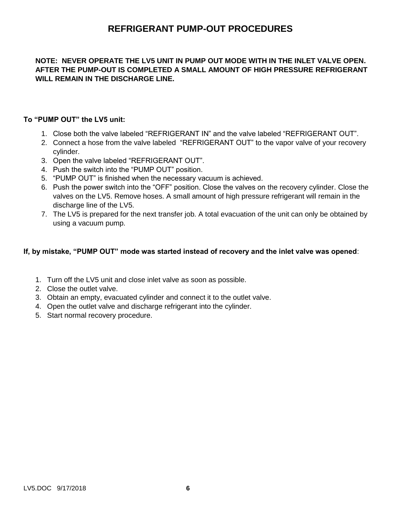### **REFRIGERANT PUMP-OUT PROCEDURES**

#### **NOTE: NEVER OPERATE THE LV5 UNIT IN PUMP OUT MODE WITH IN THE INLET VALVE OPEN. AFTER THE PUMP-OUT IS COMPLETED A SMALL AMOUNT OF HIGH PRESSURE REFRIGERANT WILL REMAIN IN THE DISCHARGE LINE.**

#### **To "PUMP OUT" the LV5 unit:**

- 1. Close both the valve labeled "REFRIGERANT IN" and the valve labeled "REFRIGERANT OUT".
- 2. Connect a hose from the valve labeled "REFRIGERANT OUT" to the vapor valve of your recovery cylinder.
- 3. Open the valve labeled "REFRIGERANT OUT".
- 4. Push the switch into the "PUMP OUT" position.
- 5. "PUMP OUT" is finished when the necessary vacuum is achieved.
- 6. Push the power switch into the "OFF" position. Close the valves on the recovery cylinder. Close the valves on the LV5. Remove hoses. A small amount of high pressure refrigerant will remain in the discharge line of the LV5.
- 7. The LV5 is prepared for the next transfer job. A total evacuation of the unit can only be obtained by using a vacuum pump.

#### **If, by mistake, "PUMP OUT" mode was started instead of recovery and the inlet valve was opened**:

- 1. Turn off the LV5 unit and close inlet valve as soon as possible.
- 2. Close the outlet valve.
- 3. Obtain an empty, evacuated cylinder and connect it to the outlet valve.
- 4. Open the outlet valve and discharge refrigerant into the cylinder.
- 5. Start normal recovery procedure.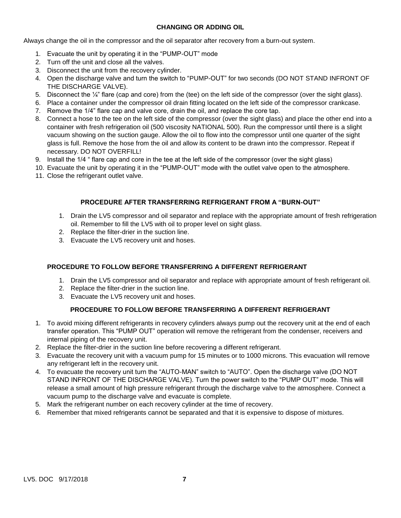#### **CHANGING OR ADDING OIL**

Always change the oil in the compressor and the oil separator after recovery from a burn-out system.

- 1. Evacuate the unit by operating it in the "PUMP-OUT" mode
- 2. Turn off the unit and close all the valves.
- 3. Disconnect the unit from the recovery cylinder.
- 4. Open the discharge valve and turn the switch to "PUMP-OUT" for two seconds (DO NOT STAND INFRONT OF THE DISCHARGE VALVE).
- 5. Disconnect the  $\frac{1}{4}$  flare (cap and core) from the (tee) on the left side of the compressor (over the sight glass).
- 6. Place a container under the compressor oil drain fitting located on the left side of the compressor crankcase.
- 7. Remove the 1/4" flare cap and valve core, drain the oil, and replace the core tap.
- 8. Connect a hose to the tee on the left side of the compressor (over the sight glass) and place the other end into a container with fresh refrigeration oil (500 viscosity NATIONAL 500). Run the compressor until there is a slight vacuum showing on the suction gauge. Allow the oil to flow into the compressor until one quarter of the sight glass is full. Remove the hose from the oil and allow its content to be drawn into the compressor. Repeat if necessary. DO NOT OVERFILL!
- 9. Install the 1/4 " flare cap and core in the tee at the left side of the compressor (over the sight glass)
- 10. Evacuate the unit by operating it in the "PUMP-OUT" mode with the outlet valve open to the atmosphere.
- 11. Close the refrigerant outlet valve.

#### **PROCEDURE AFTER TRANSFERRING REFRIGERANT FROM A "BURN-OUT"**

- 1. Drain the LV5 compressor and oil separator and replace with the appropriate amount of fresh refrigeration oil. Remember to fill the LV5 with oil to proper level on sight glass.
- 2. Replace the filter-drier in the suction line.
- 3. Evacuate the LV5 recovery unit and hoses.

#### **PROCEDURE TO FOLLOW BEFORE TRANSFERRING A DIFFERENT REFRIGERANT**

- 1. Drain the LV5 compressor and oil separator and replace with appropriate amount of fresh refrigerant oil.
- 2. Replace the filter-drier in the suction line.
- 3. Evacuate the LV5 recovery unit and hoses.

#### **PROCEDURE TO FOLLOW BEFORE TRANSFERRING A DIFFERENT REFRIGERANT**

- 1. To avoid mixing different refrigerants in recovery cylinders always pump out the recovery unit at the end of each transfer operation. This "PUMP OUT" operation will remove the refrigerant from the condenser, receivers and internal piping of the recovery unit.
- 2. Replace the filter-drier in the suction line before recovering a different refrigerant.
- 3. Evacuate the recovery unit with a vacuum pump for 15 minutes or to 1000 microns. This evacuation will remove any refrigerant left in the recovery unit.
- 4. To evacuate the recovery unit turn the "AUTO-MAN" switch to "AUTO". Open the discharge valve (DO NOT STAND INFRONT OF THE DISCHARGE VALVE). Turn the power switch to the "PUMP OUT" mode. This will release a small amount of high pressure refrigerant through the discharge valve to the atmosphere. Connect a vacuum pump to the discharge valve and evacuate is complete.
- 5. Mark the refrigerant number on each recovery cylinder at the time of recovery.
- 6. Remember that mixed refrigerants cannot be separated and that it is expensive to dispose of mixtures.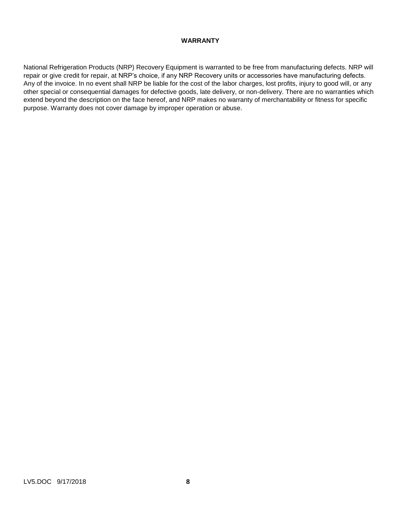#### **WARRANTY**

National Refrigeration Products (NRP) Recovery Equipment is warranted to be free from manufacturing defects. NRP will repair or give credit for repair, at NRP's choice, if any NRP Recovery units or accessories have manufacturing defects. Any of the invoice. In no event shall NRP be liable for the cost of the labor charges, lost profits, injury to good will, or any other special or consequential damages for defective goods, late delivery, or non-delivery. There are no warranties which extend beyond the description on the face hereof, and NRP makes no warranty of merchantability or fitness for specific purpose. Warranty does not cover damage by improper operation or abuse.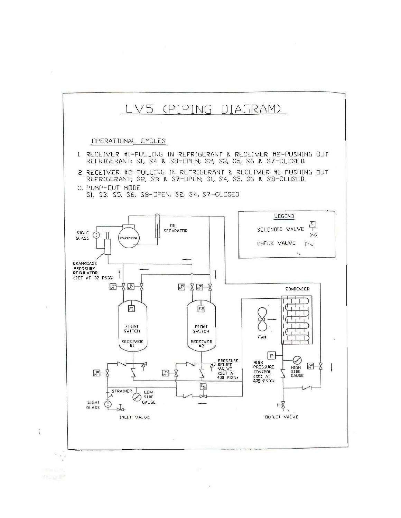

 $\vec{1}$ 

 $\bar{\nu}$